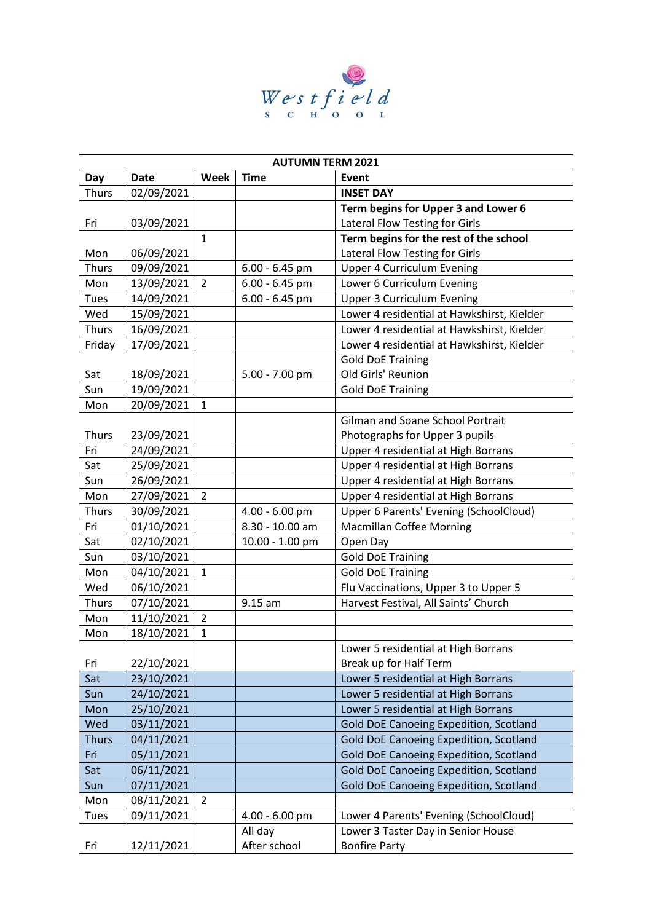

| <b>AUTUMN TERM 2021</b> |             |                |                  |                                               |  |  |
|-------------------------|-------------|----------------|------------------|-----------------------------------------------|--|--|
| Day                     | <b>Date</b> | Week           | <b>Time</b>      | Event                                         |  |  |
| <b>Thurs</b>            | 02/09/2021  |                |                  | <b>INSET DAY</b>                              |  |  |
|                         |             |                |                  | Term begins for Upper 3 and Lower 6           |  |  |
| Fri                     | 03/09/2021  |                |                  | Lateral Flow Testing for Girls                |  |  |
|                         |             | $\mathbf{1}$   |                  | Term begins for the rest of the school        |  |  |
| Mon                     | 06/09/2021  |                |                  | Lateral Flow Testing for Girls                |  |  |
| <b>Thurs</b>            | 09/09/2021  |                | $6.00 - 6.45$ pm | <b>Upper 4 Curriculum Evening</b>             |  |  |
| Mon                     | 13/09/2021  | $\overline{2}$ | 6.00 - 6.45 pm   | Lower 6 Curriculum Evening                    |  |  |
| Tues                    | 14/09/2021  |                | $6.00 - 6.45$ pm | <b>Upper 3 Curriculum Evening</b>             |  |  |
| Wed                     | 15/09/2021  |                |                  | Lower 4 residential at Hawkshirst, Kielder    |  |  |
| <b>Thurs</b>            | 16/09/2021  |                |                  | Lower 4 residential at Hawkshirst, Kielder    |  |  |
| Friday                  | 17/09/2021  |                |                  | Lower 4 residential at Hawkshirst, Kielder    |  |  |
|                         |             |                |                  | <b>Gold DoE Training</b>                      |  |  |
| Sat                     | 18/09/2021  |                | $5.00 - 7.00$ pm | Old Girls' Reunion                            |  |  |
| Sun                     | 19/09/2021  |                |                  | <b>Gold DoE Training</b>                      |  |  |
| Mon                     | 20/09/2021  | $\mathbf{1}$   |                  |                                               |  |  |
|                         |             |                |                  | Gilman and Soane School Portrait              |  |  |
| <b>Thurs</b>            | 23/09/2021  |                |                  | Photographs for Upper 3 pupils                |  |  |
| Fri                     | 24/09/2021  |                |                  | Upper 4 residential at High Borrans           |  |  |
| Sat                     | 25/09/2021  |                |                  | Upper 4 residential at High Borrans           |  |  |
| Sun                     | 26/09/2021  |                |                  | Upper 4 residential at High Borrans           |  |  |
| Mon                     | 27/09/2021  | $\overline{2}$ |                  | Upper 4 residential at High Borrans           |  |  |
| <b>Thurs</b>            | 30/09/2021  |                | 4.00 - 6.00 pm   | Upper 6 Parents' Evening (SchoolCloud)        |  |  |
| Fri                     | 01/10/2021  |                | 8.30 - 10.00 am  | <b>Macmillan Coffee Morning</b>               |  |  |
| Sat                     | 02/10/2021  |                | 10.00 - 1.00 pm  | Open Day                                      |  |  |
| Sun                     | 03/10/2021  |                |                  | <b>Gold DoE Training</b>                      |  |  |
| Mon                     | 04/10/2021  | $\mathbf{1}$   |                  | <b>Gold DoE Training</b>                      |  |  |
| Wed                     | 06/10/2021  |                |                  | Flu Vaccinations, Upper 3 to Upper 5          |  |  |
| <b>Thurs</b>            | 07/10/2021  |                | 9.15 am          | Harvest Festival, All Saints' Church          |  |  |
| Mon                     | 11/10/2021  | $\overline{2}$ |                  |                                               |  |  |
| Mon                     | 18/10/2021  | $\mathbf{1}$   |                  |                                               |  |  |
|                         |             |                |                  | Lower 5 residential at High Borrans           |  |  |
| Fri                     | 22/10/2021  |                |                  | Break up for Half Term                        |  |  |
| Sat                     | 23/10/2021  |                |                  | Lower 5 residential at High Borrans           |  |  |
| Sun                     | 24/10/2021  |                |                  | Lower 5 residential at High Borrans           |  |  |
| Mon                     | 25/10/2021  |                |                  | Lower 5 residential at High Borrans           |  |  |
| Wed                     | 03/11/2021  |                |                  | <b>Gold DoE Canoeing Expedition, Scotland</b> |  |  |
| <b>Thurs</b>            | 04/11/2021  |                |                  | <b>Gold DoE Canoeing Expedition, Scotland</b> |  |  |
| Fri                     | 05/11/2021  |                |                  | <b>Gold DoE Canoeing Expedition, Scotland</b> |  |  |
| Sat                     | 06/11/2021  |                |                  | <b>Gold DoE Canoeing Expedition, Scotland</b> |  |  |
| Sun                     | 07/11/2021  |                |                  | <b>Gold DoE Canoeing Expedition, Scotland</b> |  |  |
| Mon                     | 08/11/2021  | $\overline{2}$ |                  |                                               |  |  |
|                         | 09/11/2021  |                | 4.00 - 6.00 pm   | Lower 4 Parents' Evening (SchoolCloud)        |  |  |
| Tues                    |             |                |                  |                                               |  |  |
|                         |             |                | All day          | Lower 3 Taster Day in Senior House            |  |  |
| Fri                     | 12/11/2021  |                | After school     | <b>Bonfire Party</b>                          |  |  |